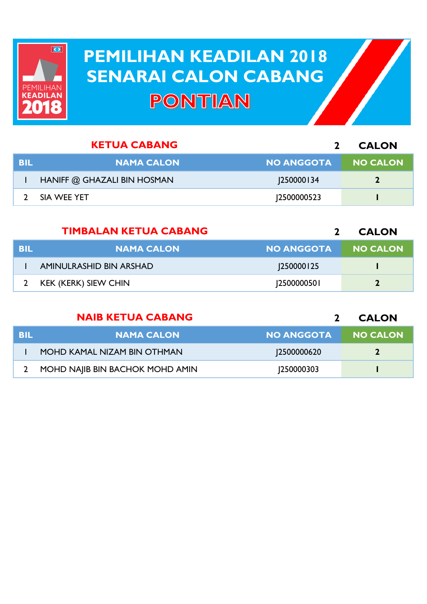

## **PEMILIHAN KEADILAN 2018 PEMILIHAN KEADILAN 2018 SENARAI CALON CABANG SENARAI CALON CABANGPONTIAN**

|            | <b>KETUA CABANG</b>         |                   | <b>CALON</b>    |
|------------|-----------------------------|-------------------|-----------------|
| <b>BIL</b> | <b>NAMA CALON</b>           | <b>NO ANGGOTA</b> | <b>NO CALON</b> |
|            | HANIFF @ GHAZALI BIN HOSMAN | <b>250000134</b>  | $\mathbf{2}$    |
|            | SIA WEE YET                 | 12500000523       |                 |

|      | <b>TIMBALAN KETUA CABANG</b> |                   | <b>CALON</b>    |
|------|------------------------------|-------------------|-----------------|
| -BIL | <b>NAMA CALON</b>            | <b>NO ANGGOTA</b> | <b>NO CALON</b> |
|      | AMINULRASHID BIN ARSHAD      | <b>250000125</b>  |                 |
|      | <b>KEK (KERK) SIEW CHIN</b>  | 12500000501       |                 |

|     | <b>NAIB KETUA CABANG</b>        |                   | <b>CALON</b>    |
|-----|---------------------------------|-------------------|-----------------|
| BIL | <b>NAMA CALON</b>               | <b>NO ANGGOTA</b> | <b>NO CALON</b> |
|     | MOHD KAMAL NIZAM BIN OTHMAN     | 12500000620       | $\mathbf{2}$    |
|     | MOHD NAJIB BIN BACHOK MOHD AMIN | 1250000303        |                 |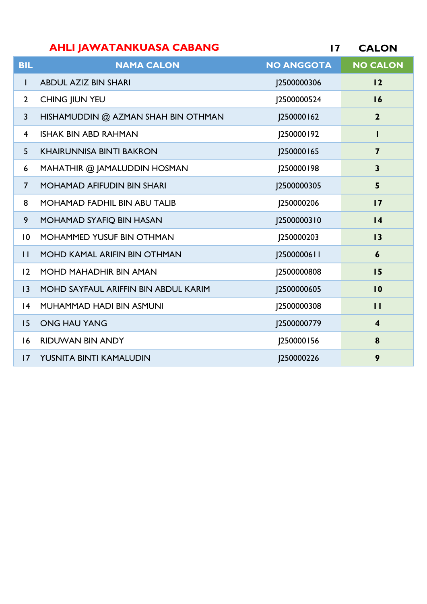| <b>AHLI JAWATANKUASA CABANG</b> |  | <b>CALON</b> |
|---------------------------------|--|--------------|
|---------------------------------|--|--------------|

| <b>BIL</b>              | <b>NAMA CALON</b>                    | <b>NO ANGGOTA</b> | <b>NO CALON</b>         |
|-------------------------|--------------------------------------|-------------------|-------------------------|
| $\mathbf{I}$            | <b>ABDUL AZIZ BIN SHARI</b>          | J2500000306       | 12                      |
| $\overline{2}$          | CHING JIUN YEU                       | J2500000524       | 16                      |
| $\overline{3}$          | HISHAMUDDIN @ AZMAN SHAH BIN OTHMAN  | 250000162         | $\mathbf{2}$            |
| $\overline{\mathbf{4}}$ | <b>ISHAK BIN ABD RAHMAN</b>          | J250000192        |                         |
| 5                       | <b>KHAIRUNNISA BINTI BAKRON</b>      | J250000165        | $\overline{\mathbf{z}}$ |
| 6                       | MAHATHIR @ JAMALUDDIN HOSMAN         | J250000198        | $\overline{\mathbf{3}}$ |
| $\overline{7}$          | <b>MOHAMAD AFIFUDIN BIN SHARI</b>    | J2500000305       | 5                       |
| 8                       | <b>MOHAMAD FADHIL BIN ABU TALIB</b>  | J250000206        | $\overline{17}$         |
| 9                       | MOHAMAD SYAFIQ BIN HASAN             | J2500000310       | $\overline{14}$         |
| $\overline{0}$          | MOHAMMED YUSUF BIN OTHMAN            | J250000203        | 13                      |
| $\mathbf{H}$            | <b>MOHD KAMAL ARIFIN BIN OTHMAN</b>  | J2500000611       | $\boldsymbol{6}$        |
| 12                      | <b>MOHD MAHADHIR BIN AMAN</b>        | J2500000808       | 15                      |
| 3                       | MOHD SAYFAUL ARIFFIN BIN ABDUL KARIM | J2500000605       | $\overline{10}$         |
| 4                       | MUHAMMAD HADI BIN ASMUNI             | J2500000308       | П                       |
| 15                      | <b>ONG HAU YANG</b>                  | J2500000779       | $\overline{\mathbf{4}}$ |
| 16                      | <b>RIDUWAN BIN ANDY</b>              | J250000156        | 8                       |
| $\overline{17}$         | YUSNITA BINTI KAMALUDIN              | 1250000226        | 9                       |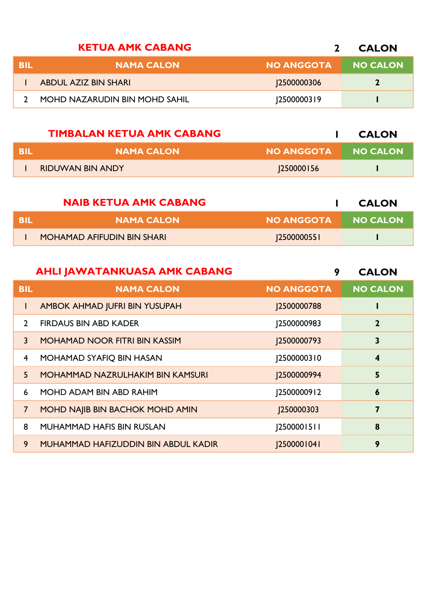|            | <b>KETUA AMK CABANG</b>       |                    | <b>CALON</b>    |
|------------|-------------------------------|--------------------|-----------------|
| <b>BIL</b> | <b>NAMA CALON</b>             | <b>NO ANGGOTA</b>  | <b>NO CALON</b> |
|            | ABDUL AZIZ BIN SHARI          | <b>J2500000306</b> |                 |
|            | MOHD NAZARUDIN BIN MOHD SAHIL | 25000003 9         |                 |

|      | <b>TIMBALAN KETUA AMK CABANG</b> |                   | <b>CALON</b> |
|------|----------------------------------|-------------------|--------------|
| -BIL | <b>NAMA CALON</b>                | <b>NO ANGGOTA</b> | NO CALON     |
|      | <b>RIDUWAN BIN ANDY</b>          | 250000156         |              |

|      | <b>NAIB KETUA AMK CABANG</b>      |                   | <b>CALON</b>    |
|------|-----------------------------------|-------------------|-----------------|
| -BIL | <b>NAMA CALON</b>                 | <b>NO ANGGOTA</b> | <b>NO CALON</b> |
|      | <b>MOHAMAD AFIFUDIN BIN SHARI</b> | 12500000551       |                 |

|                | <b>AHLI JAWATANKUASA AMK CABANG</b>     | 9                 | <b>CALON</b>            |
|----------------|-----------------------------------------|-------------------|-------------------------|
| <b>BIL</b>     | <b>NAMA CALON</b>                       | <b>NO ANGGOTA</b> | <b>NO CALON</b>         |
| L              | AMBOK AHMAD JUFRI BIN YUSUPAH           | J2500000788       |                         |
| $\mathcal{L}$  | <b>FIRDAUS BIN ABD KADER</b>            | J2500000983       | $\mathbf 2$             |
| 3              | <b>MOHAMAD NOOR FITRI BIN KASSIM</b>    | J2500000793       | 3                       |
| 4              | MOHAMAD SYAFIQ BIN HASAN                | 2500000310        | $\overline{\mathbf{4}}$ |
| $\overline{5}$ | <b>MOHAMMAD NAZRULHAKIM BIN KAMSURI</b> | J2500000994       | 5                       |
| 6              | MOHD ADAM BIN ABD RAHIM                 | 2500000912        | 6                       |
| $\overline{7}$ | MOHD NAJIB BIN BACHOK MOHD AMIN         | J250000303        | 7                       |
| 8              | <b>MUHAMMAD HAFIS BIN RUSLAN</b>        | [2500001511]      | 8                       |
| 9              | MUHAMMAD HAFIZUDDIN BIN ABDUL KADIR     | <b>2500001041</b> | 9                       |